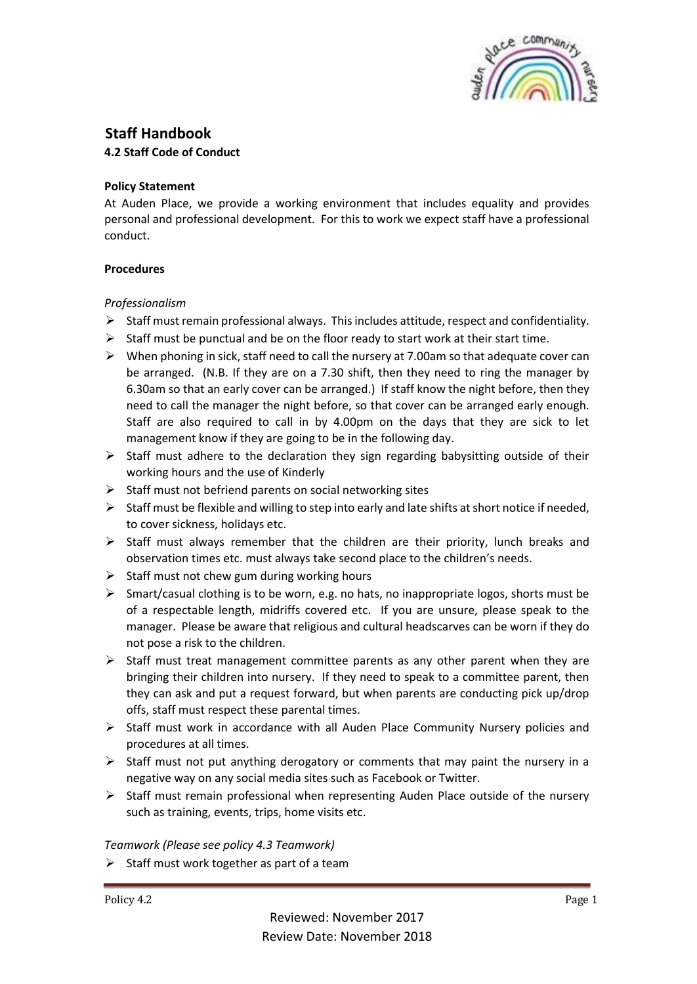

# **Staff Handbook**

## **4.2 Staff Code of Conduct**

### **Policy Statement**

At Auden Place, we provide a working environment that includes equality and provides personal and professional development. For this to work we expect staff have a professional conduct.

# **Procedures**

# *Professionalism*

- $\triangleright$  Staff must remain professional always. This includes attitude, respect and confidentiality.
- $\triangleright$  Staff must be punctual and be on the floor ready to start work at their start time.
- $\triangleright$  When phoning in sick, staff need to call the nursery at 7.00am so that adequate cover can be arranged. (N.B. If they are on a 7.30 shift, then they need to ring the manager by 6.30am so that an early cover can be arranged.) If staff know the night before, then they need to call the manager the night before, so that cover can be arranged early enough. Staff are also required to call in by 4.00pm on the days that they are sick to let management know if they are going to be in the following day.
- $\triangleright$  Staff must adhere to the declaration they sign regarding babysitting outside of their working hours and the use of Kinderly
- $\triangleright$  Staff must not befriend parents on social networking sites
- $\triangleright$  Staff must be flexible and willing to step into early and late shifts at short notice if needed, to cover sickness, holidays etc.
- $\triangleright$  Staff must always remember that the children are their priority, lunch breaks and observation times etc. must always take second place to the children's needs.
- $\triangleright$  Staff must not chew gum during working hours
- $\triangleright$  Smart/casual clothing is to be worn, e.g. no hats, no inappropriate logos, shorts must be of a respectable length, midriffs covered etc. If you are unsure, please speak to the manager. Please be aware that religious and cultural headscarves can be worn if they do not pose a risk to the children.
- $\triangleright$  Staff must treat management committee parents as any other parent when they are bringing their children into nursery. If they need to speak to a committee parent, then they can ask and put a request forward, but when parents are conducting pick up/drop offs, staff must respect these parental times.
- $\triangleright$  Staff must work in accordance with all Auden Place Community Nursery policies and procedures at all times.
- $\triangleright$  Staff must not put anything derogatory or comments that may paint the nursery in a negative way on any social media sites such as Facebook or Twitter.
- $\triangleright$  Staff must remain professional when representing Auden Place outside of the nursery such as training, events, trips, home visits etc.

### *Teamwork (Please see policy 4.3 Teamwork)*

 $\triangleright$  Staff must work together as part of a team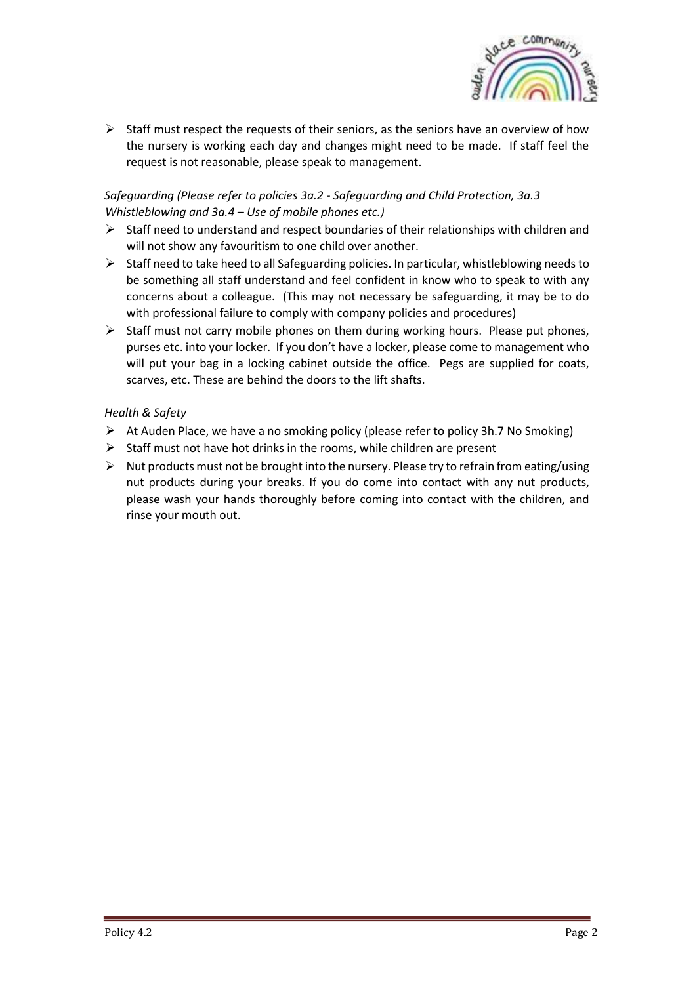

 $\triangleright$  Staff must respect the requests of their seniors, as the seniors have an overview of how the nursery is working each day and changes might need to be made. If staff feel the request is not reasonable, please speak to management.

## *Safeguarding (Please refer to policies 3a.2 - Safeguarding and Child Protection, 3a.3 Whistleblowing and 3a.4 – Use of mobile phones etc.)*

- $\triangleright$  Staff need to understand and respect boundaries of their relationships with children and will not show any favouritism to one child over another.
- $\triangleright$  Staff need to take heed to all Safeguarding policies. In particular, whistleblowing needs to be something all staff understand and feel confident in know who to speak to with any concerns about a colleague. (This may not necessary be safeguarding, it may be to do with professional failure to comply with company policies and procedures)
- $\triangleright$  Staff must not carry mobile phones on them during working hours. Please put phones, purses etc. into your locker. If you don't have a locker, please come to management who will put your bag in a locking cabinet outside the office. Pegs are supplied for coats, scarves, etc. These are behind the doors to the lift shafts.

### *Health & Safety*

- $\triangleright$  At Auden Place, we have a no smoking policy (please refer to policy 3h.7 No Smoking)
- ➢ Staff must not have hot drinks in the rooms, while children are present
- $\triangleright$  Nut products must not be brought into the nursery. Please try to refrain from eating/using nut products during your breaks. If you do come into contact with any nut products, please wash your hands thoroughly before coming into contact with the children, and rinse your mouth out.